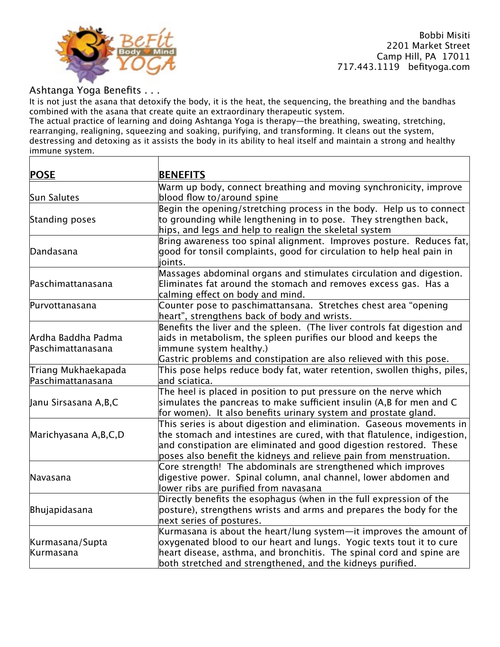

Τ

 Bobbi Misiti 2201 Market Street Camp Hill, PA 17011 717.443.1119 befityoga.com

## Ashtanga Yoga Benefits . . .

It is not just the asana that detoxify the body, it is the heat, the sequencing, the breathing and the bandhas combined with the asana that create quite an extraordinary therapeutic system.

The actual practice of learning and doing Ashtanga Yoga is therapy—the breathing, sweating, stretching, rearranging, realigning, squeezing and soaking, purifying, and transforming. It cleans out the system, destressing and detoxing as it assists the body in its ability to heal itself and maintain a strong and healthy immune system.

| <b>POSE</b>             | <b>BENEFITS</b>                                                               |
|-------------------------|-------------------------------------------------------------------------------|
|                         | Warm up body, connect breathing and moving synchronicity, improve             |
| Sun Salutes             | blood flow to/around spine                                                    |
|                         | Begin the opening/stretching process in the body. Help us to connect          |
| Standing poses          | to grounding while lengthening in to pose. They strengthen back,              |
|                         | hips, and legs and help to realign the skeletal system                        |
|                         | Bring awareness too spinal alignment. Improves posture. Reduces fat,          |
| Dandasana               | good for tonsil complaints, good for circulation to help heal pain in         |
|                         | ioints.                                                                       |
|                         | Massages abdominal organs and stimulates circulation and digestion.           |
| Paschimattanasana       | Eliminates fat around the stomach and removes excess gas. Has a               |
|                         | calming effect on body and mind.                                              |
| Purvottanasana          | Counter pose to paschimattansana. Stretches chest area "opening               |
|                         | heart", strengthens back of body and wrists.                                  |
|                         | Benefits the liver and the spleen. (The liver controls fat digestion and      |
| Ardha Baddha Padma      | aids in metabolism, the spleen purifies our blood and keeps the               |
| Paschimattanasana       | immune system healthy.)                                                       |
|                         | Gastric problems and constipation are also relieved with this pose.           |
| Triang Mukhaekapada     | This pose helps reduce body fat, water retention, swollen thighs, piles, $\,$ |
| Paschimattanasana       | and sciatica.                                                                 |
|                         | The heel is placed in position to put pressure on the nerve which             |
| Janu Sirsasana A,B,C    | simulates the pancreas to make sufficient insulin (A,B for men and C          |
|                         | for women). It also benefits urinary system and prostate gland.               |
|                         | This series is about digestion and elimination. Gaseous movements in          |
| Marichyasana A, B, C, D | the stomach and intestines are cured, with that flatulence, indigestion,      |
|                         | and constipation are eliminated and good digestion restored. These            |
|                         | poses also benefit the kidneys and relieve pain from menstruation.            |
|                         | Core strength! The abdominals are strengthened which improves                 |
| Navasana                | digestive power. Spinal column, anal channel, lower abdomen and               |
|                         | lower ribs are purified from navasana                                         |
|                         | Directly benefits the esophagus (when in the full expression of the           |
| Bhujapidasana           | posture), strengthens wrists and arms and prepares the body for the           |
|                         | next series of postures.                                                      |
|                         | Kurmasana is about the heart/lung system—it improves the amount of            |
| Kurmasana/Supta         | oxygenated blood to our heart and lungs. Yogic texts tout it to cure          |
| Kurmasana               | heart disease, asthma, and bronchitis. The spinal cord and spine are          |
|                         | both stretched and strengthened, and the kidneys purified.                    |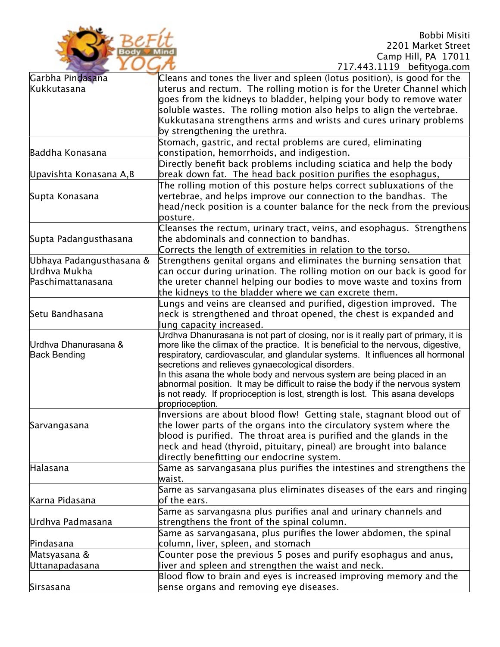

 Bobbi Misiti 2201 Market Street Camp Hill, PA 17011 717.443.1119 befityoga.com

|                          | 717. TU. LILU DURIYOYU.COM                                                                                                                                       |
|--------------------------|------------------------------------------------------------------------------------------------------------------------------------------------------------------|
| Garbha Pindasana         | Cleans and tones the liver and spleen (lotus position), is good for the                                                                                          |
| Kukkutasana              | uterus and rectum. The rolling motion is for the Ureter Channel which                                                                                            |
|                          | goes from the kidneys to bladder, helping your body to remove water                                                                                              |
|                          | soluble wastes. The rolling motion also helps to align the vertebrae.                                                                                            |
|                          | Kukkutasana strengthens arms and wrists and cures urinary problems                                                                                               |
|                          | by strengthening the urethra.                                                                                                                                    |
|                          | Stomach, gastric, and rectal problems are cured, eliminating                                                                                                     |
| Baddha Konasana          | constipation, hemorrhoids, and indigestion.                                                                                                                      |
|                          | Directly benefit back problems including sciatica and help the body                                                                                              |
| Upavishta Konasana A,B   | break down fat. The head back position purifies the esophagus,                                                                                                   |
|                          | The rolling motion of this posture helps correct subluxations of the                                                                                             |
|                          | vertebrae, and helps improve our connection to the bandhas. The                                                                                                  |
| Supta Konasana           |                                                                                                                                                                  |
|                          | head/neck position is a counter balance for the neck from the previous                                                                                           |
|                          | posture.                                                                                                                                                         |
|                          | Cleanses the rectum, urinary tract, veins, and esophagus. Strengthens                                                                                            |
| Supta Padangusthasana    | the abdominals and connection to bandhas.                                                                                                                        |
|                          | Corrects the length of extremities in relation to the torso.                                                                                                     |
| Ubhaya Padangusthasana & | Strengthens genital organs and eliminates the burning sensation that                                                                                             |
| Urdhva Mukha             | can occur during urination. The rolling motion on our back is good for                                                                                           |
| Paschimattanasana        | the ureter channel helping our bodies to move waste and toxins from                                                                                              |
|                          | the kidneys to the bladder where we can excrete them.                                                                                                            |
|                          | Lungs and veins are cleansed and purified, digestion improved. The                                                                                               |
| Setu Bandhasana          | neck is strengthened and throat opened, the chest is expanded and                                                                                                |
|                          | lung capacity increased.                                                                                                                                         |
|                          | Urdhva Dhanurasana is not part of closing, nor is it really part of primary, it is                                                                               |
| Urdhva Dhanurasana &     | more like the climax of the practice. It is beneficial to the nervous, digestive,                                                                                |
| <b>Back Bending</b>      | respiratory, cardiovascular, and glandular systems. It influences all hormonal                                                                                   |
|                          | secretions and relieves gynaecological disorders.                                                                                                                |
|                          | In this asana the whole body and nervous system are being placed in an                                                                                           |
|                          | abnormal position. It may be difficult to raise the body if the nervous system<br>is not ready. If proprioception is lost, strength is lost. This asana develops |
|                          | proprioception.                                                                                                                                                  |
|                          | Inversions are about blood flow! Getting stale, stagnant blood out of                                                                                            |
|                          | the lower parts of the organs into the circulatory system where the                                                                                              |
| Sarvangasana             | blood is purified. The throat area is purified and the glands in the                                                                                             |
|                          |                                                                                                                                                                  |
|                          | neck and head (thyroid, pituitary, pineal) are brought into balance                                                                                              |
|                          | directly benefitting our endocrine system.                                                                                                                       |
| Halasana                 | Same as sarvangasana plus purifies the intestines and strengthens the                                                                                            |
|                          | waist.                                                                                                                                                           |
|                          | Same as sarvangasana plus eliminates diseases of the ears and ringing $\,$                                                                                       |
| Karna Pidasana           | of the ears.                                                                                                                                                     |
|                          | Same as sarvangasna plus purifies anal and urinary channels and                                                                                                  |
| Urdhva Padmasana         | strengthens the front of the spinal column.                                                                                                                      |
|                          | Same as sarvangasana, plus purifies the lower abdomen, the spinal $\,$                                                                                           |
| Pindasana                | column, liver, spleen, and stomach                                                                                                                               |
| Matsyasana &             | Counter pose the previous 5 poses and purify esophagus and anus,                                                                                                 |
| Uttanapadasana           | liver and spleen and strengthen the waist and neck.                                                                                                              |
|                          | Blood flow to brain and eyes is increased improving memory and the                                                                                               |
| Sirsasana                | sense organs and removing eye diseases.                                                                                                                          |